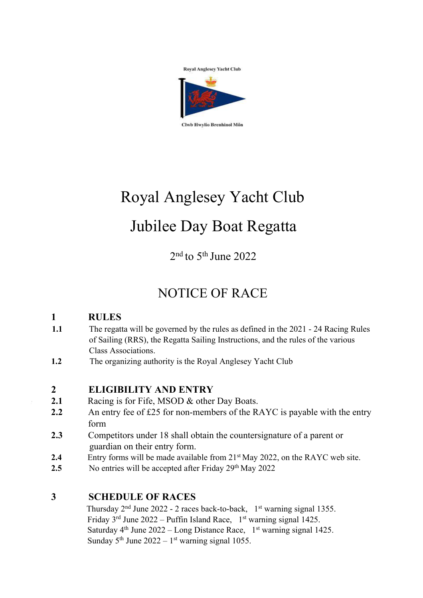

# Royal Anglesey Yacht Club Jubilee Day Boat Regatta

2nd to 5th June 2022

# NOTICE OF RACE

# **1 RULES**

- **1.1** The regatta will be governed by the rules as defined in the 2021 24 Racing Rules of Sailing (RRS), the Regatta Sailing Instructions, and the rules of the various Class Associations.
- **1.2** The organizing authority is the Royal Anglesey Yacht Club

## **2 ELIGIBILITY AND ENTRY**

- **2.1** Racing is for Fife, MSOD & other Day Boats.
- **2.2** An entry fee of £25 for non-members of the RAYC is payable with the entry form
- **2.3** Competitors under 18 shall obtain the countersignature of a parent or guardian on their entry form.
- **2.4** Entry forms will be made available from 21<sup>st</sup> May 2022, on the RAYC web site.
- 2.5 No entries will be accepted after Friday 29<sup>th</sup> May 2022

## **3 SCHEDULE OF RACES**

Thursday  $2<sup>nd</sup>$  June 2022 - 2 races back-to-back,  $1<sup>st</sup>$  warning signal 1355. Friday  $3<sup>rd</sup>$  June 2022 – Puffin Island Race,  $1<sup>st</sup>$  warning signal 1425. Saturday  $4<sup>th</sup>$  June 2022 – Long Distance Race,  $1<sup>st</sup>$  warning signal 1425. Sunday  $5<sup>th</sup>$  June 2022 – 1<sup>st</sup> warning signal 1055.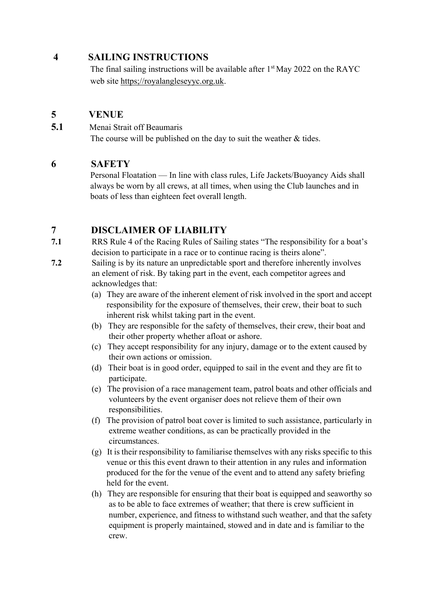#### **4 SAILING INSTRUCTIONS**

The final sailing instructions will be available after  $1<sup>st</sup>$  May 2022 on the RAYC web site https;//royalangleseyyc.org.uk.

#### **5 VENUE**

**5.1** Menai Strait off Beaumaris

The course will be published on the day to suit the weather & tides.

#### **6 SAFETY**

Personal Floatation — In line with class rules, Life Jackets/Buoyancy Aids shall always be worn by all crews, at all times, when using the Club launches and in boats of less than eighteen feet overall length.

#### **7 DISCLAIMER OF LIABILITY**

- **7.1** RRS Rule 4 of the Racing Rules of Sailing states "The responsibility for a boat's decision to participate in a race or to continue racing is theirs alone".
- **7.2** Sailing is by its nature an unpredictable sport and therefore inherently involves an element of risk. By taking part in the event, each competitor agrees and acknowledges that:
	- (a) They are aware of the inherent element of risk involved in the sport and accept responsibility for the exposure of themselves, their crew, their boat to such inherent risk whilst taking part in the event.
	- (b) They are responsible for the safety of themselves, their crew, their boat and their other property whether afloat or ashore.
	- (c) They accept responsibility for any injury, damage or to the extent caused by their own actions or omission.
	- (d) Their boat is in good order, equipped to sail in the event and they are fit to participate.
	- (e) The provision of a race management team, patrol boats and other officials and volunteers by the event organiser does not relieve them of their own responsibilities.
	- (f) The provision of patrol boat cover is limited to such assistance, particularly in extreme weather conditions, as can be practically provided in the circumstances.
	- (g) It is their responsibility to familiarise themselves with any risks specific to this venue or this this event drawn to their attention in any rules and information produced for the for the venue of the event and to attend any safety briefing held for the event.
	- (h) They are responsible for ensuring that their boat is equipped and seaworthy so as to be able to face extremes of weather; that there is crew sufficient in number, experience, and fitness to withstand such weather, and that the safety equipment is properly maintained, stowed and in date and is familiar to the crew.